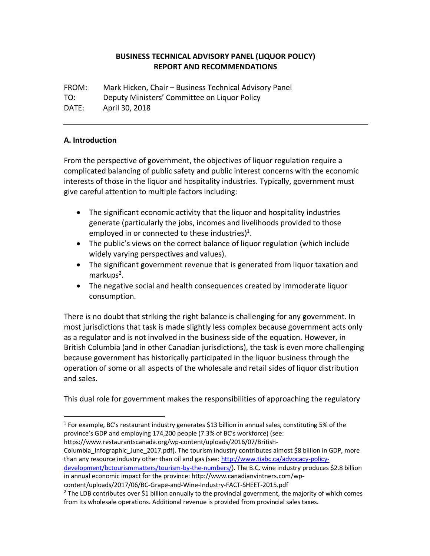## **BUSINESS'TECHNICAL ADVISORY'PANEL (LIQUOR'POLICY) REPORT'AND'RECOMMENDATIONS**

FROM: Mark Hicken, Chair – Business Technical Advisory Panel TO: Deputy Ministers' Committee on Liquor Policy DATE: April 30, 2018

## **A.'Introduction**

From the perspective of government, the objectives of liquor regulation require a complicated balancing of public safety and public interest concerns with the economic interests of those in the liquor and hospitality industries. Typically, government must give careful attention to multiple factors including:

- The significant economic activity that the liquor and hospitality industries generate (particularly the jobs, incomes and livelihoods provided to those employed in or connected to these industries)<sup>1</sup>.
- The public's views on the correct balance of liquor regulation (which include widely varying perspectives and values).
- The significant government revenue that is generated from liquor taxation and  $markups<sup>2</sup>$ .
- The negative social and health consequences created by immoderate liquor consumption.

There is no doubt that striking the right balance is challenging for any government. In most jurisdictions that task is made slightly less complex because government acts only as a regulator and is not involved in the business side of the equation. However, in British Columbia (and in other Canadian jurisdictions), the task is even more challenging because government has historically participated in the liquor business through the operation of some or all aspects of the wholesale and retail sides of liquor distribution and sales.

This dual role for government makes the responsibilities of approaching the regulatory

https://www.restaurantscanada.org/wp-content/uploads/2016/07/British-

!!!!!!!!!!!!!!!!!!!!!!!!!!!!!!!!!!!!!!!!!!!!!!!!!!!!!!!

Columbia Infographic June 2017.pdf). The tourism industry contributes almost \$8 billion in GDP, more than any resource industry other than oil and gas (see: http://www.tiabc.ca/advocacy-policy-

development/bctourismmatters/tourism-by-the-numbers/). The B.C. wine industry produces \$2.8 billion in annual economic impact for the province: http://www.canadianvintners.com/wp-

content/uploads/2017/06/BC-Grape-and-Wine-Industry-FACT-SHEET-2015.pdf

 $1$  For example, BC's restaurant industry generates \$13 billion in annual sales, constituting 5% of the province's GDP and employing 174,200 people (7.3% of BC's workforce) (see:

<sup>&</sup>lt;sup>2</sup> The LDB contributes over \$1 billion annually to the provincial government, the majority of which comes from its wholesale operations. Additional revenue is provided from provincial sales taxes.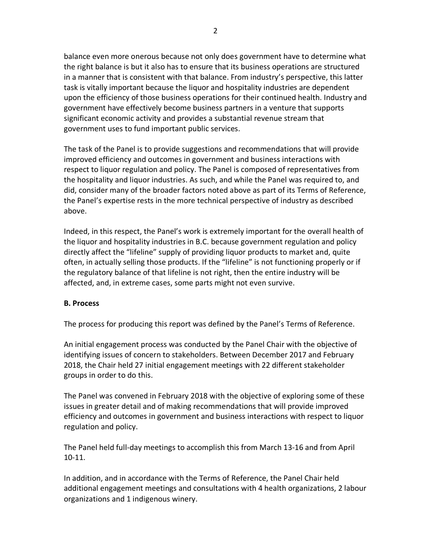balance even more onerous because not only does government have to determine what the right balance is but it also has to ensure that its business operations are structured in a manner that is consistent with that balance. From industry's perspective, this latter task is vitally important because the liquor and hospitality industries are dependent upon the efficiency of those business operations for their continued health. Industry and government have effectively become business partners in a venture that supports significant economic activity and provides a substantial revenue stream that government uses to fund important public services.

The task of the Panel is to provide suggestions and recommendations that will provide improved efficiency and outcomes in government and business interactions with respect to liquor regulation and policy. The Panel is composed of representatives from the hospitality and liquor industries. As such, and while the Panel was required to, and did, consider many of the broader factors noted above as part of its Terms of Reference, the Panel's expertise rests in the more technical perspective of industry as described above.

Indeed, in this respect, the Panel's work is extremely important for the overall health of the liquor and hospitality industries in B.C. because government regulation and policy directly affect the "lifeline" supply of providing liquor products to market and, quite often, in actually selling those products. If the "lifeline" is not functioning properly or if the regulatory balance of that lifeline is not right, then the entire industry will be affected, and, in extreme cases, some parts might not even survive.

### **B.'Process**

The process for producing this report was defined by the Panel's Terms of Reference.

An initial engagement process was conducted by the Panel Chair with the objective of identifying issues of concern to stakeholders. Between December 2017 and February 2018, the Chair held 27 initial engagement meetings with 22 different stakeholder groups in order to do this.

The Panel was convened in February 2018 with the objective of exploring some of these issues in greater detail and of making recommendations that will provide improved efficiency and outcomes in government and business interactions with respect to liquor regulation and policy.

The Panel held full-day meetings to accomplish this from March 13-16 and from April  $10-11.$ 

In addition, and in accordance with the Terms of Reference, the Panel Chair held additional engagement meetings and consultations with 4 health organizations, 2 labour organizations and 1 indigenous winery.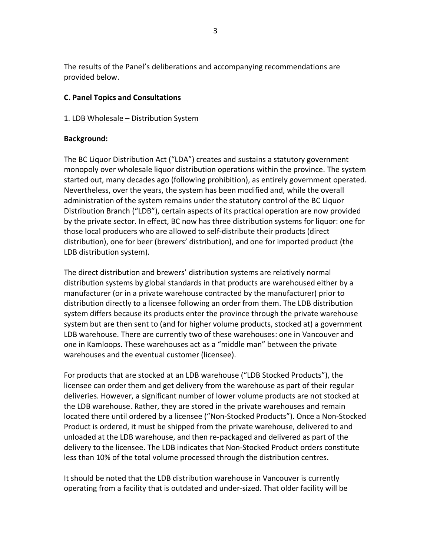The results of the Panel's deliberations and accompanying recommendations are provided below.

## **C.'Panel'Topics'and'Consultations**

### 1. LDB Wholesale – Distribution System

## **Background:**

The BC Liquor Distribution Act ("LDA") creates and sustains a statutory government monopoly over wholesale liquor distribution operations within the province. The system started out, many decades ago (following prohibition), as entirely government operated. Nevertheless, over the years, the system has been modified and, while the overall administration of the system remains under the statutory control of the BC Liquor Distribution Branch ("LDB"), certain aspects of its practical operation are now provided by the private sector. In effect, BC now has three distribution systems for liquor: one for those local producers who are allowed to self-distribute their products (direct distribution), one for beer (brewers' distribution), and one for imported product (the LDB distribution system).

The direct distribution and brewers' distribution systems are relatively normal distribution systems by global standards in that products are warehoused either by a manufacturer (or in a private warehouse contracted by the manufacturer) prior to distribution directly to a licensee following an order from them. The LDB distribution system differs because its products enter the province through the private warehouse system but are then sent to (and for higher volume products, stocked at) a government LDB warehouse. There are currently two of these warehouses: one in Vancouver and one in Kamloops. These warehouses act as a "middle man" between the private warehouses and the eventual customer (licensee).

For products that are stocked at an LDB warehouse ("LDB Stocked Products"), the licensee can order them and get delivery from the warehouse as part of their regular deliveries. However, a significant number of lower volume products are not stocked at the LDB warehouse. Rather, they are stored in the private warehouses and remain located there until ordered by a licensee ("Non-Stocked Products"). Once a Non-Stocked Product is ordered, it must be shipped from the private warehouse, delivered to and unloaded at the LDB warehouse, and then re-packaged and delivered as part of the delivery to the licensee. The LDB indicates that Non-Stocked Product orders constitute less than 10% of the total volume processed through the distribution centres.

It should be noted that the LDB distribution warehouse in Vancouver is currently operating from a facility that is outdated and under-sized. That older facility will be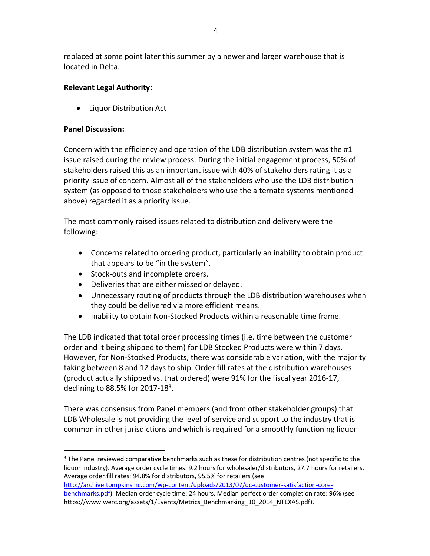replaced at some point later this summer by a newer and larger warehouse that is located in Delta.

# **Relevant Legal Authority:**

• Liquor Distribution Act

### **Panel Discussion:**

Concern with the efficiency and operation of the LDB distribution system was the  $#1$ issue raised during the review process. During the initial engagement process, 50% of stakeholders raised this as an important issue with 40% of stakeholders rating it as a priority issue of concern. Almost all of the stakeholders who use the LDB distribution system (as opposed to those stakeholders who use the alternate systems mentioned above) regarded it as a priority issue.

The most commonly raised issues related to distribution and delivery were the following:

- Concerns related to ordering product, particularly an inability to obtain product that appears to be "in the system".
- $\bullet$  Stock-outs and incomplete orders.

!!!!!!!!!!!!!!!!!!!!!!!!!!!!!!!!!!!!!!!!!!!!!!!!!!!!!!!

- Deliveries that are either missed or delayed.
- Unnecessary routing of products through the LDB distribution warehouses when they could be delivered via more efficient means.
- Inability to obtain Non-Stocked Products within a reasonable time frame.

The LDB indicated that total order processing times (i.e. time between the customer order and it being shipped to them) for LDB Stocked Products were within 7 days. However, for Non-Stocked Products, there was considerable variation, with the majority taking between 8 and 12 days to ship. Order fill rates at the distribution warehouses (product actually shipped vs. that ordered) were 91% for the fiscal year 2016-17, declining to 88.5% for 2017-18 $3$ .

There was consensus from Panel members (and from other stakeholder groups) that LDB Wholesale is not providing the level of service and support to the industry that is common in other jurisdictions and which is required for a smoothly functioning liquor

<sup>3</sup> The Panel reviewed comparative benchmarks such as these for distribution centres (not specific to the liquor industry). Average order cycle times: 9.2 hours for wholesaler/distributors, 27.7 hours for retailers. Average order fill rates: 94.8% for distributors, 95.5% for retailers (see http://archive.tompkinsinc.com/wp-content/uploads/2013/07/dc-customer-satisfaction-core-

benchmarks.pdf). Median order cycle time: 24 hours. Median perfect order completion rate: 96% (see https://www.werc.org/assets/1/Events/Metrics\_Benchmarking\_10\_2014\_NTEXAS.pdf).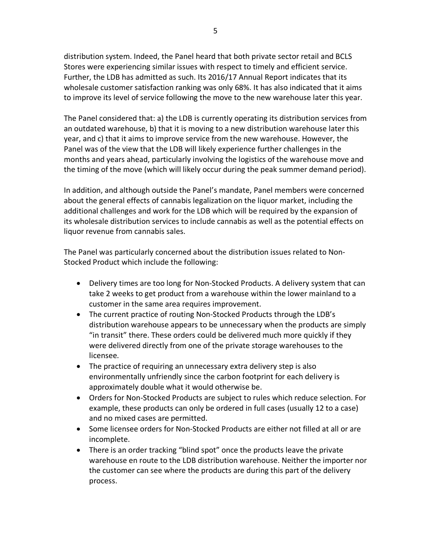distribution system. Indeed, the Panel heard that both private sector retail and BCLS Stores were experiencing similar issues with respect to timely and efficient service. Further, the LDB has admitted as such. Its 2016/17 Annual Report indicates that its wholesale customer satisfaction ranking was only 68%. It has also indicated that it aims to improve its level of service following the move to the new warehouse later this year.

The Panel considered that: a) the LDB is currently operating its distribution services from an outdated warehouse, b) that it is moving to a new distribution warehouse later this year, and c) that it aims to improve service from the new warehouse. However, the Panel was of the view that the LDB will likely experience further challenges in the months and years ahead, particularly involving the logistics of the warehouse move and the timing of the move (which will likely occur during the peak summer demand period).

In addition, and although outside the Panel's mandate, Panel members were concerned about the general effects of cannabis legalization on the liquor market, including the additional challenges and work for the LDB which will be required by the expansion of its wholesale distribution services to include cannabis as well as the potential effects on liquor revenue from cannabis sales.

The Panel was particularly concerned about the distribution issues related to Non-Stocked Product which include the following:

- Delivery times are too long for Non-Stocked Products. A delivery system that can take 2 weeks to get product from a warehouse within the lower mainland to a customer in the same area requires improvement.
- The current practice of routing Non-Stocked Products through the LDB's distribution warehouse appears to be unnecessary when the products are simply "in transit" there. These orders could be delivered much more quickly if they were delivered directly from one of the private storage warehouses to the licensee.
- The practice of requiring an unnecessary extra delivery step is also environmentally unfriendly since the carbon footprint for each delivery is approximately double what it would otherwise be.
- Orders for Non-Stocked Products are subject to rules which reduce selection. For example, these products can only be ordered in full cases (usually 12 to a case) and no mixed cases are permitted.
- Some licensee orders for Non-Stocked Products are either not filled at all or are incomplete.
- There is an order tracking "blind spot" once the products leave the private warehouse en route to the LDB distribution warehouse. Neither the importer nor the customer can see where the products are during this part of the delivery process.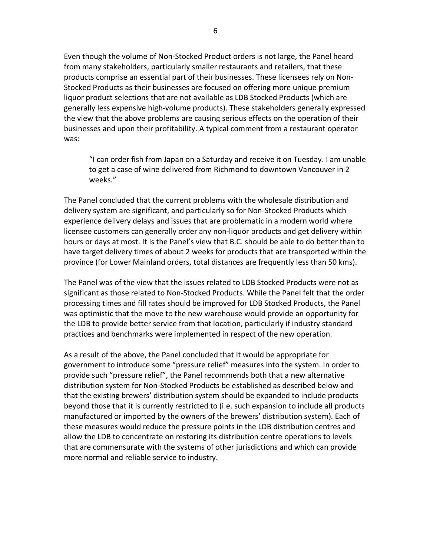Even though the volume of Non-Stocked Product orders is not large, the Panel heard from many stakeholders, particularly smaller restaurants and retailers, that these products comprise an essential part of their businesses. These licensees rely on Non-Stocked Products as their businesses are focused on offering more unique premium liquor product selections that are not available as LDB Stocked Products (which are generally less expensive high-volume products). These stakeholders generally expressed the view that the above problems are causing serious effects on the operation of their businesses and upon their profitability. A typical comment from a restaurant operator was:

"I can order fish from Japan on a Saturday and receive it on Tuesday. I am unable to get a case of wine delivered from Richmond to downtown Vancouver in 2 weeks."

The Panel concluded that the current problems with the wholesale distribution and delivery system are significant, and particularly so for Non-Stocked Products which experience delivery delays and issues that are problematic in a modern world where licensee customers can generally order any non-liquor products and get delivery within hours or days at most. It is the Panel's view that B.C. should be able to do better than to have target delivery times of about 2 weeks for products that are transported within the province (for Lower Mainland orders, total distances are frequently less than 50 kms).

The Panel was of the view that the issues related to LDB Stocked Products were not as significant as those related to Non-Stocked Products. While the Panel felt that the order processing times and fill rates should be improved for LDB Stocked Products, the Panel was optimistic that the move to the new warehouse would provide an opportunity for the LDB to provide better service from that location, particularly if industry standard practices and benchmarks were implemented in respect of the new operation.

As a result of the above, the Panel concluded that it would be appropriate for government to introduce some "pressure relief" measures into the system. In order to provide such "pressure relief", the Panel recommends both that a new alternative distribution system for Non-Stocked Products be established as described below and that the existing brewers' distribution system should be expanded to include products beyond those that it is currently restricted to (i.e. such expansion to include all products manufactured or imported by the owners of the brewers' distribution system). Each of these measures would reduce the pressure points in the LDB distribution centres and allow the LDB to concentrate on restoring its distribution centre operations to levels that are commensurate with the systems of other jurisdictions and which can provide more normal and reliable service to industry.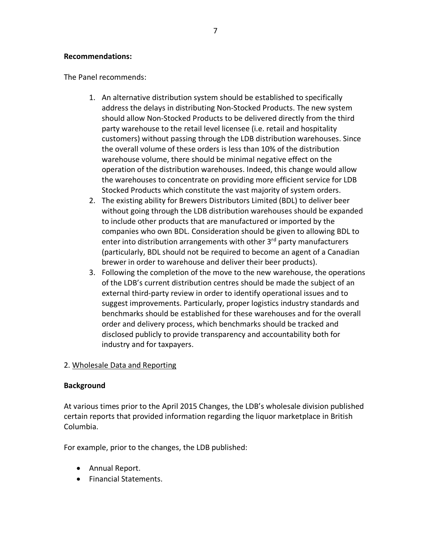### **Recommendations:**

The Panel recommends:

- 1. An alternative distribution system should be established to specifically address the delays in distributing Non-Stocked Products. The new system should allow Non-Stocked Products to be delivered directly from the third party warehouse to the retail level licensee (i.e. retail and hospitality customers) without passing through the LDB distribution warehouses. Since the overall volume of these orders is less than 10% of the distribution warehouse volume, there should be minimal negative effect on the operation of the distribution warehouses. Indeed, this change would allow the warehouses to concentrate on providing more efficient service for LDB Stocked Products which constitute the vast majority of system orders.
- 2. The existing ability for Brewers Distributors Limited (BDL) to deliver beer without going through the LDB distribution warehouses should be expanded to include other products that are manufactured or imported by the companies who own BDL. Consideration should be given to allowing BDL to enter into distribution arrangements with other 3rd party manufacturers (particularly, BDL should not be required to become an agent of a Canadian brewer in order to warehouse and deliver their beer products).
- 3. Following the completion of the move to the new warehouse, the operations of the LDB's current distribution centres should be made the subject of an external third-party review in order to identify operational issues and to suggest improvements. Particularly, proper logistics industry standards and benchmarks should be established for these warehouses and for the overall order and delivery process, which benchmarks should be tracked and disclosed publicly to provide transparency and accountability both for industry and for taxpayers.

### 2. Wholesale Data and Reporting

#### **Background**

At various times prior to the April 2015 Changes, the LDB's wholesale division published certain reports that provided information regarding the liquor marketplace in British Columbia.

For example, prior to the changes, the LDB published:

- Annual Report.
- Financial Statements.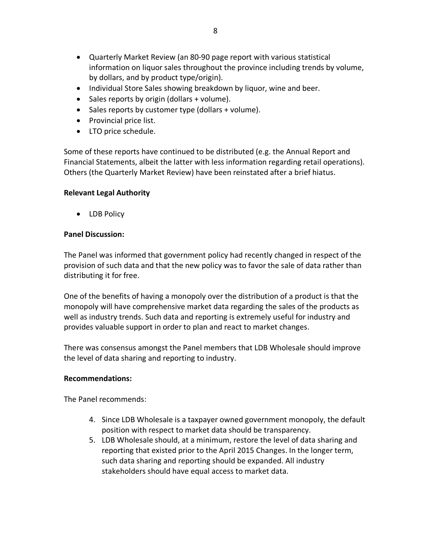- Quarterly Market Review (an 80-90 page report with various statistical information on liquor sales throughout the province including trends by volume, by dollars, and by product type/origin).
- Individual Store Sales showing breakdown by liquor, wine and beer.
- Sales reports by origin (dollars + volume).
- Sales reports by customer type (dollars + volume).
- Provincial price list.
- LTO price schedule.

Some of these reports have continued to be distributed (e.g. the Annual Report and Financial Statements, albeit the latter with less information regarding retail operations). Others (the Quarterly Market Review) have been reinstated after a brief hiatus.

## **Relevant'Legal'Authority**

• LDB Policy

## **Panel Discussion:**

The Panel was informed that government policy had recently changed in respect of the provision of such data and that the new policy was to favor the sale of data rather than distributing it for free.

One of the benefits of having a monopoly over the distribution of a product is that the monopoly will have comprehensive market data regarding the sales of the products as well as industry trends. Such data and reporting is extremely useful for industry and provides valuable support in order to plan and react to market changes.

There was consensus amongst the Panel members that LDB Wholesale should improve the level of data sharing and reporting to industry.

### **Recommendations:**

The Panel recommends:

- 4. Since LDB Wholesale is a taxpayer owned government monopoly, the default position with respect to market data should be transparency.
- 5. LDB Wholesale should, at a minimum, restore the level of data sharing and reporting that existed prior to the April 2015 Changes. In the longer term, such data sharing and reporting should be expanded. All industry stakeholders should have equal access to market data.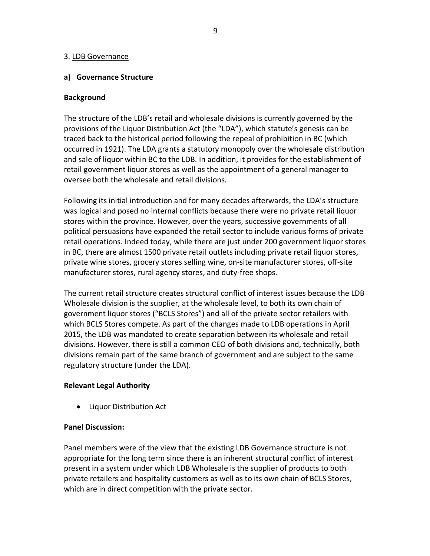### 3. LDB Governance

### **a)** Governance Structure

### **Background**

The structure of the LDB's retail and wholesale divisions is currently governed by the provisions of the Liquor Distribution Act (the "LDA"), which statute's genesis can be traced back to the historical period following the repeal of prohibition in BC (which occurred in 1921). The LDA grants a statutory monopoly over the wholesale distribution and sale of liquor within BC to the LDB. In addition, it provides for the establishment of retail government liquor stores as well as the appointment of a general manager to oversee both the wholesale and retail divisions.

Following its initial introduction and for many decades afterwards, the LDA's structure was logical and posed no internal conflicts because there were no private retail liquor stores within the province. However, over the years, successive governments of all political persuasions have expanded the retail sector to include various forms of private retail operations. Indeed today, while there are just under 200 government liquor stores in BC, there are almost 1500 private retail outlets including private retail liquor stores, private wine stores, grocery stores selling wine, on-site manufacturer stores, off-site manufacturer stores, rural agency stores, and duty-free shops.

The current retail structure creates structural conflict of interest issues because the LDB Wholesale division is the supplier, at the wholesale level, to both its own chain of government liquor stores ("BCLS Stores") and all of the private sector retailers with which BCLS Stores compete. As part of the changes made to LDB operations in April 2015, the LDB was mandated to create separation between its wholesale and retail divisions. However, there is still a common CEO of both divisions and, technically, both divisions remain part of the same branch of government and are subject to the same regulatory structure (under the LDA).

#### **Relevant'Legal'Authority**

• Liquor Distribution Act

### **Panel Discussion:**

Panel members were of the view that the existing LDB Governance structure is not appropriate for the long term since there is an inherent structural conflict of interest present in a system under which LDB Wholesale is the supplier of products to both private retailers and hospitality customers as well as to its own chain of BCLS Stores, which are in direct competition with the private sector.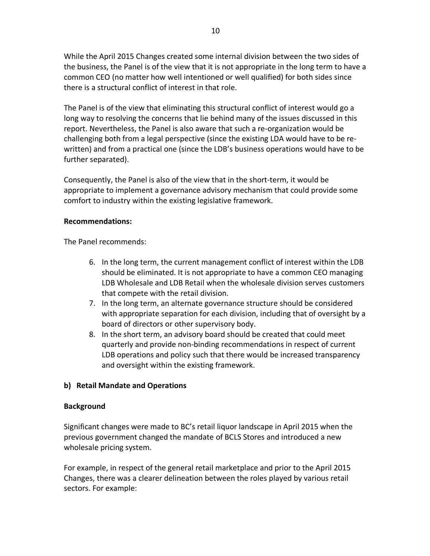While the April 2015 Changes created some internal division between the two sides of the business, the Panel is of the view that it is not appropriate in the long term to have a common CEO (no matter how well intentioned or well qualified) for both sides since there is a structural conflict of interest in that role.

The Panel is of the view that eliminating this structural conflict of interest would go a long way to resolving the concerns that lie behind many of the issues discussed in this report. Nevertheless, the Panel is also aware that such a re-organization would be challenging both from a legal perspective (since the existing LDA would have to be rewritten) and from a practical one (since the LDB's business operations would have to be further separated).

Consequently, the Panel is also of the view that in the short-term, it would be appropriate to implement a governance advisory mechanism that could provide some comfort to industry within the existing legislative framework.

#### **Recommendations:**

The Panel recommends:

- 6. In the long term, the current management conflict of interest within the LDB should be eliminated. It is not appropriate to have a common CEO managing LDB Wholesale and LDB Retail when the wholesale division serves customers that compete with the retail division.
- 7. In the long term, an alternate governance structure should be considered with appropriate separation for each division, including that of oversight by a board of directors or other supervisory body.
- 8. In the short term, an advisory board should be created that could meet quarterly and provide non-binding recommendations in respect of current LDB operations and policy such that there would be increased transparency and oversight within the existing framework.

### **b)** Retail Mandate and Operations

#### **Background**

Significant changes were made to BC's retail liquor landscape in April 2015 when the previous government changed the mandate of BCLS Stores and introduced a new wholesale pricing system.

For example, in respect of the general retail marketplace and prior to the April 2015 Changes, there was a clearer delineation between the roles played by various retail sectors. For example: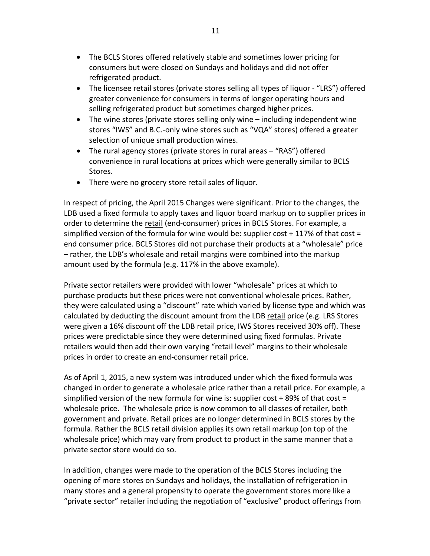- The BCLS Stores offered relatively stable and sometimes lower pricing for consumers but were closed on Sundays and holidays and did not offer refrigerated product.
- The licensee retail stores (private stores selling all types of liquor "LRS") offered greater convenience for consumers in terms of longer operating hours and selling refrigerated product but sometimes charged higher prices.
- The wine stores (private stores selling only wine including independent wine stores "IWS" and B.C.-only wine stores such as "VQA" stores) offered a greater selection of unique small production wines.
- The rural agency stores (private stores in rural areas  $-$  "RAS") offered convenience in rural locations at prices which were generally similar to BCLS Stores.
- There were no grocery store retail sales of liquor.

In respect of pricing, the April 2015 Changes were significant. Prior to the changes, the LDB used a fixed formula to apply taxes and liquor board markup on to supplier prices in order to determine the retail (end-consumer) prices in BCLS Stores. For example, a simplified version of the formula for wine would be: supplier cost + 117% of that cost = end consumer price. BCLS Stores did not purchase their products at a "wholesale" price – rather, the LDB's wholesale and retail margins were combined into the markup amount used by the formula (e.g. 117% in the above example).

Private sector retailers were provided with lower "wholesale" prices at which to purchase products but these prices were not conventional wholesale prices. Rather, they were calculated using a "discount" rate which varied by license type and which was calculated by deducting the discount amount from the LDB retail price (e.g. LRS Stores were given a 16% discount off the LDB retail price, IWS Stores received 30% off). These prices were predictable since they were determined using fixed formulas. Private retailers would then add their own varying "retail level" margins to their wholesale prices in order to create an end-consumer retail price.

As of April 1, 2015, a new system was introduced under which the fixed formula was changed in order to generate a wholesale price rather than a retail price. For example, a simplified version of the new formula for wine is: supplier cost + 89% of that cost = wholesale price. The wholesale price is now common to all classes of retailer, both government and private. Retail prices are no longer determined in BCLS stores by the formula. Rather the BCLS retail division applies its own retail markup (on top of the wholesale price) which may vary from product to product in the same manner that a private sector store would do so.

In addition, changes were made to the operation of the BCLS Stores including the opening of more stores on Sundays and holidays, the installation of refrigeration in many stores and a general propensity to operate the government stores more like a "private sector" retailer including the negotiation of "exclusive" product offerings from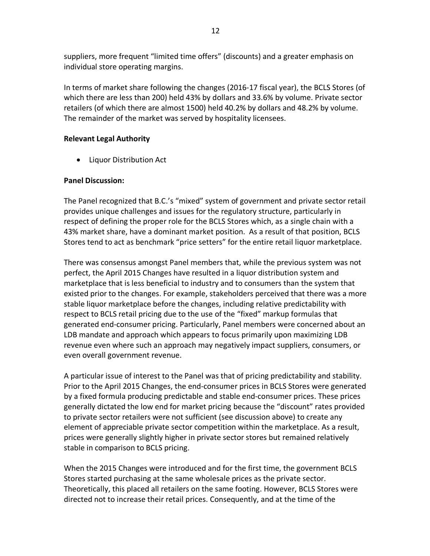suppliers, more frequent "limited time offers" (discounts) and a greater emphasis on individual store operating margins.

In terms of market share following the changes (2016-17 fiscal year), the BCLS Stores (of which there are less than 200) held 43% by dollars and 33.6% by volume. Private sector retailers (of which there are almost 1500) held 40.2% by dollars and 48.2% by volume. The remainder of the market was served by hospitality licensees.

### **Relevant'Legal'Authority**

• Liquor Distribution Act

### **Panel'Discussion:**

The Panel recognized that B.C.'s "mixed" system of government and private sector retail provides unique challenges and issues for the regulatory structure, particularly in respect of defining the proper role for the BCLS Stores which, as a single chain with a 43% market share, have a dominant market position. As a result of that position, BCLS Stores tend to act as benchmark "price setters" for the entire retail liquor marketplace.

There was consensus amongst Panel members that, while the previous system was not perfect, the April 2015 Changes have resulted in a liquor distribution system and marketplace that is less beneficial to industry and to consumers than the system that existed prior to the changes. For example, stakeholders perceived that there was a more stable liquor marketplace before the changes, including relative predictability with respect to BCLS retail pricing due to the use of the "fixed" markup formulas that generated end-consumer pricing. Particularly, Panel members were concerned about an LDB mandate and approach which appears to focus primarily upon maximizing LDB revenue even where such an approach may negatively impact suppliers, consumers, or even overall government revenue.

A particular issue of interest to the Panel was that of pricing predictability and stability. Prior to the April 2015 Changes, the end-consumer prices in BCLS Stores were generated by a fixed formula producing predictable and stable end-consumer prices. These prices generally dictated the low end for market pricing because the "discount" rates provided to private sector retailers were not sufficient (see discussion above) to create any element of appreciable private sector competition within the marketplace. As a result, prices were generally slightly higher in private sector stores but remained relatively stable in comparison to BCLS pricing.

When the 2015 Changes were introduced and for the first time, the government BCLS Stores started purchasing at the same wholesale prices as the private sector. Theoretically, this placed all retailers on the same footing. However, BCLS Stores were directed not to increase their retail prices. Consequently, and at the time of the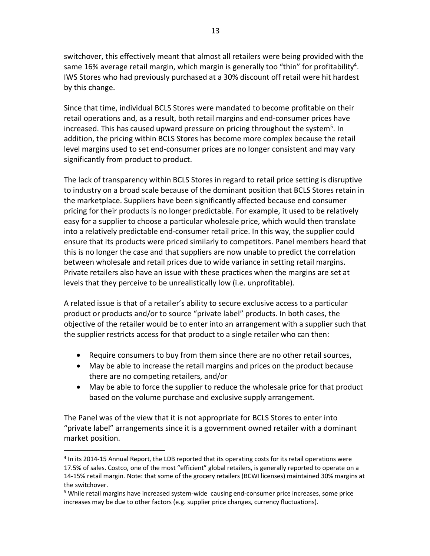switchover, this effectively meant that almost all retailers were being provided with the same 16% average retail margin, which margin is generally too "thin" for profitability<sup>4</sup>. IWS Stores who had previously purchased at a 30% discount off retail were hit hardest by this change.

Since that time, individual BCLS Stores were mandated to become profitable on their retail operations and, as a result, both retail margins and end-consumer prices have increased. This has caused upward pressure on pricing throughout the system<sup>5</sup>. In addition, the pricing within BCLS Stores has become more complex because the retail level margins used to set end-consumer prices are no longer consistent and may vary significantly from product to product.

The lack of transparency within BCLS Stores in regard to retail price setting is disruptive to industry on a broad scale because of the dominant position that BCLS Stores retain in the marketplace. Suppliers have been significantly affected because end consumer pricing for their products is no longer predictable. For example, it used to be relatively easy for a supplier to choose a particular wholesale price, which would then translate into a relatively predictable end-consumer retail price. In this way, the supplier could ensure that its products were priced similarly to competitors. Panel members heard that this is no longer the case and that suppliers are now unable to predict the correlation between wholesale and retail prices due to wide variance in setting retail margins. Private retailers also have an issue with these practices when the margins are set at levels that they perceive to be unrealistically low (i.e. unprofitable).

A related issue is that of a retailer's ability to secure exclusive access to a particular product or products and/or to source "private label" products. In both cases, the objective of the retailer would be to enter into an arrangement with a supplier such that the supplier restricts access for that product to a single retailer who can then:

- Require consumers to buy from them since there are no other retail sources,
- May be able to increase the retail margins and prices on the product because there are no competing retailers, and/or
- May be able to force the supplier to reduce the wholesale price for that product based on the volume purchase and exclusive supply arrangement.

The Panel was of the view that it is not appropriate for BCLS Stores to enter into "private label" arrangements since it is a government owned retailer with a dominant market position.

!!!!!!!!!!!!!!!!!!!!!!!!!!!!!!!!!!!!!!!!!!!!!!!!!!!!!!!

<sup>&</sup>lt;sup>4</sup> In its 2014-15 Annual Report, the LDB reported that its operating costs for its retail operations were 17.5% of sales. Costco, one of the most "efficient" global retailers, is generally reported to operate on a 14-15% retail margin. Note: that some of the grocery retailers (BCWI licenses) maintained 30% margins at the switchover.

 $<sup>5</sup>$  While retail margins have increased system-wide causing end-consumer price increases, some price</sup> increases may be due to other factors (e.g. supplier price changes, currency fluctuations).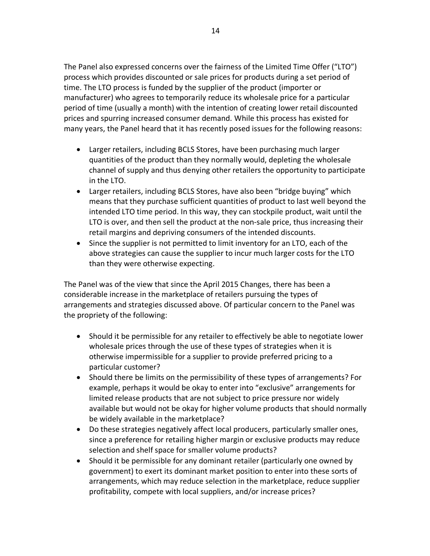The Panel also expressed concerns over the fairness of the Limited Time Offer ("LTO") process which provides discounted or sale prices for products during a set period of time. The LTO process is funded by the supplier of the product (importer or manufacturer) who agrees to temporarily reduce its wholesale price for a particular period of time (usually a month) with the intention of creating lower retail discounted prices and spurring increased consumer demand. While this process has existed for many years, the Panel heard that it has recently posed issues for the following reasons:

- Larger retailers, including BCLS Stores, have been purchasing much larger quantities of the product than they normally would, depleting the wholesale channel of supply and thus denying other retailers the opportunity to participate in the LTO.
- Larger retailers, including BCLS Stores, have also been "bridge buying" which means that they purchase sufficient quantities of product to last well beyond the intended LTO time period. In this way, they can stockpile product, wait until the LTO is over, and then sell the product at the non-sale price, thus increasing their retail margins and depriving consumers of the intended discounts.
- Since the supplier is not permitted to limit inventory for an LTO, each of the above strategies can cause the supplier to incur much larger costs for the LTO than they were otherwise expecting.

The Panel was of the view that since the April 2015 Changes, there has been a considerable increase in the marketplace of retailers pursuing the types of arrangements and strategies discussed above. Of particular concern to the Panel was the propriety of the following:

- Should it be permissible for any retailer to effectively be able to negotiate lower wholesale prices through the use of these types of strategies when it is otherwise impermissible for a supplier to provide preferred pricing to a particular customer?
- Should there be limits on the permissibility of these types of arrangements? For example, perhaps it would be okay to enter into "exclusive" arrangements for limited release products that are not subject to price pressure nor widely available but would not be okay for higher volume products that should normally be widely available in the marketplace?
- Do these strategies negatively affect local producers, particularly smaller ones, since a preference for retailing higher margin or exclusive products may reduce selection and shelf space for smaller volume products?
- Should it be permissible for any dominant retailer (particularly one owned by government) to exert its dominant market position to enter into these sorts of arrangements, which may reduce selection in the marketplace, reduce supplier profitability, compete with local suppliers, and/or increase prices?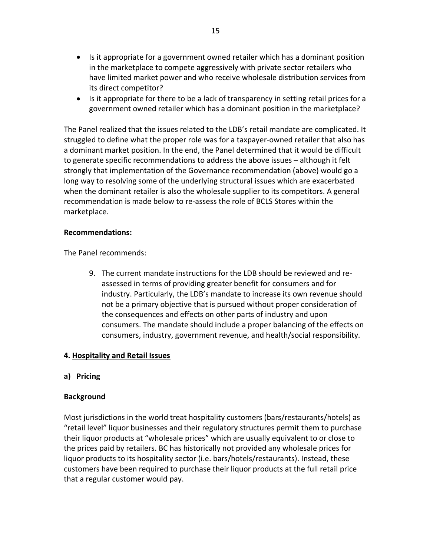- Is it appropriate for a government owned retailer which has a dominant position in the marketplace to compete aggressively with private sector retailers who have limited market power and who receive wholesale distribution services from its direct competitor?
- Is it appropriate for there to be a lack of transparency in setting retail prices for a government owned retailer which has a dominant position in the marketplace?

The Panel realized that the issues related to the LDB's retail mandate are complicated. It struggled to define what the proper role was for a taxpayer-owned retailer that also has a dominant market position. In the end, the Panel determined that it would be difficult to generate specific recommendations to address the above issues – although it felt strongly that implementation of the Governance recommendation (above) would go a long way to resolving some of the underlying structural issues which are exacerbated when the dominant retailer is also the wholesale supplier to its competitors. A general recommendation is made below to re-assess the role of BCLS Stores within the marketplace.

### **Recommendations:**

The Panel recommends:

9. The current mandate instructions for the LDB should be reviewed and reassessed in terms of providing greater benefit for consumers and for industry. Particularly, the LDB's mandate to increase its own revenue should not be a primary objective that is pursued without proper consideration of the consequences and effects on other parts of industry and upon consumers. The mandate should include a proper balancing of the effects on consumers, industry, government revenue, and health/social responsibility.

### **4. Hospitality and Retail Issues**

### **a) Pricing**

#### **Background**

Most jurisdictions in the world treat hospitality customers (bars/restaurants/hotels) as "retail level" liquor businesses and their regulatory structures permit them to purchase their liquor products at "wholesale prices" which are usually equivalent to or close to the prices paid by retailers. BC has historically not provided any wholesale prices for liquor products to its hospitality sector (i.e. bars/hotels/restaurants). Instead, these customers have been required to purchase their liquor products at the full retail price that a regular customer would pay.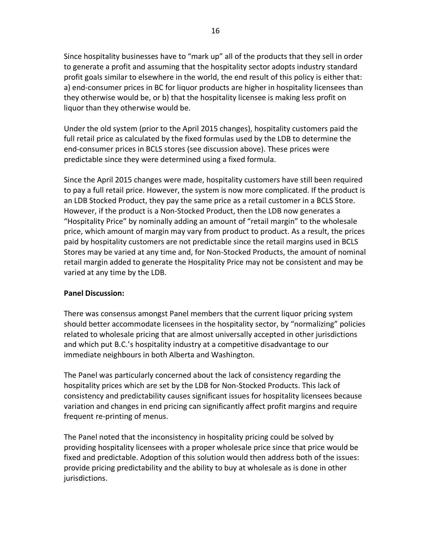Since hospitality businesses have to "mark up" all of the products that they sell in order to generate a profit and assuming that the hospitality sector adopts industry standard profit goals similar to elsewhere in the world, the end result of this policy is either that: a) end-consumer prices in BC for liquor products are higher in hospitality licensees than they otherwise would be, or b) that the hospitality licensee is making less profit on liquor than they otherwise would be.

Under the old system (prior to the April 2015 changes), hospitality customers paid the full retail price as calculated by the fixed formulas used by the LDB to determine the end-consumer prices in BCLS stores (see discussion above). These prices were predictable since they were determined using a fixed formula.

Since the April 2015 changes were made, hospitality customers have still been required to pay a full retail price. However, the system is now more complicated. If the product is an LDB Stocked Product, they pay the same price as a retail customer in a BCLS Store. However, if the product is a Non-Stocked Product, then the LDB now generates a "Hospitality Price" by nominally adding an amount of "retail margin" to the wholesale price, which amount of margin may vary from product to product. As a result, the prices paid by hospitality customers are not predictable since the retail margins used in BCLS Stores may be varied at any time and, for Non-Stocked Products, the amount of nominal retail margin added to generate the Hospitality Price may not be consistent and may be varied at any time by the LDB.

#### **Panel'Discussion:**

There was consensus amongst Panel members that the current liquor pricing system should better accommodate licensees in the hospitality sector, by "normalizing" policies related to wholesale pricing that are almost universally accepted in other jurisdictions and which put B.C.'s hospitality industry at a competitive disadvantage to our immediate neighbours in both Alberta and Washington.

The Panel was particularly concerned about the lack of consistency regarding the hospitality prices which are set by the LDB for Non-Stocked Products. This lack of consistency and predictability causes significant issues for hospitality licensees because variation and changes in end pricing can significantly affect profit margins and require frequent re-printing of menus.

The Panel noted that the inconsistency in hospitality pricing could be solved by providing hospitality licensees with a proper wholesale price since that price would be fixed and predictable. Adoption of this solution would then address both of the issues: provide pricing predictability and the ability to buy at wholesale as is done in other jurisdictions.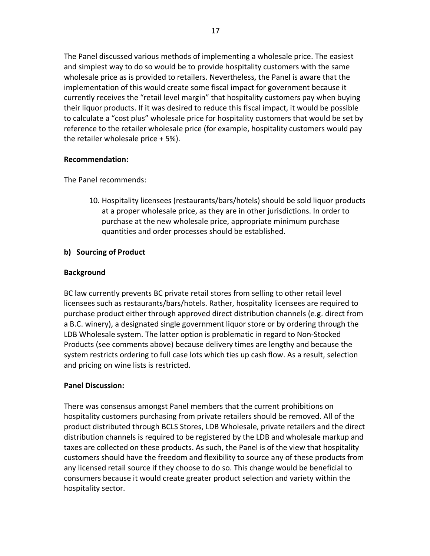The Panel discussed various methods of implementing a wholesale price. The easiest and simplest way to do so would be to provide hospitality customers with the same wholesale price as is provided to retailers. Nevertheless, the Panel is aware that the implementation of this would create some fiscal impact for government because it currently receives the "retail level margin" that hospitality customers pay when buying their liquor products. If it was desired to reduce this fiscal impact, it would be possible to calculate a "cost plus" wholesale price for hospitality customers that would be set by reference to the retailer wholesale price (for example, hospitality customers would pay the retailer wholesale price  $+ 5$ %).

### **Recommendation:**

The Panel recommends:

10. Hospitality licensees (restaurants/bars/hotels) should be sold liquor products at a proper wholesale price, as they are in other jurisdictions. In order to purchase at the new wholesale price, appropriate minimum purchase quantities and order processes should be established.

# **b)** Sourcing of Product

## **Background**

BC law currently prevents BC private retail stores from selling to other retail level licensees such as restaurants/bars/hotels. Rather, hospitality licensees are required to purchase product either through approved direct distribution channels (e.g. direct from a B.C. winery), a designated single government liquor store or by ordering through the LDB Wholesale system. The latter option is problematic in regard to Non-Stocked Products (see comments above) because delivery times are lengthy and because the system restricts ordering to full case lots which ties up cash flow. As a result, selection and pricing on wine lists is restricted.

# **Panel'Discussion:**

There was consensus amongst Panel members that the current prohibitions on hospitality customers purchasing from private retailers should be removed. All of the product distributed through BCLS Stores, LDB Wholesale, private retailers and the direct distribution channels is required to be registered by the LDB and wholesale markup and taxes are collected on these products. As such, the Panel is of the view that hospitality customers should have the freedom and flexibility to source any of these products from any licensed retail source if they choose to do so. This change would be beneficial to consumers because it would create greater product selection and variety within the hospitality sector.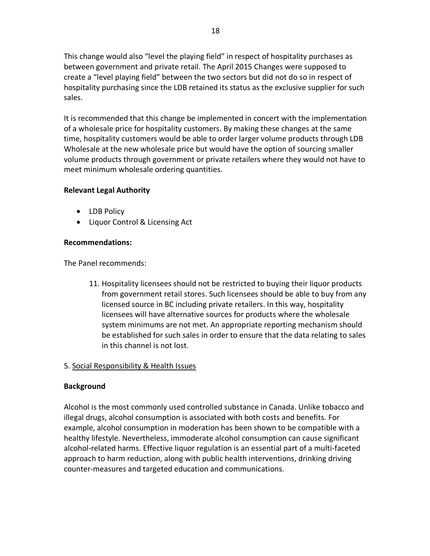This change would also "level the playing field" in respect of hospitality purchases as between government and private retail. The April 2015 Changes were supposed to create a "level playing field" between the two sectors but did not do so in respect of hospitality purchasing since the LDB retained its status as the exclusive supplier for such sales.

It is recommended that this change be implemented in concert with the implementation of a wholesale price for hospitality customers. By making these changes at the same time, hospitality customers would be able to order larger volume products through LDB Wholesale at the new wholesale price but would have the option of sourcing smaller volume products through government or private retailers where they would not have to meet minimum wholesale ordering quantities.

## **Relevant'Legal'Authority**

- LDB Policy
- Liquor Control & Licensing Act

## **Recommendations:**

The Panel recommends:

11. Hospitality licensees should not be restricted to buying their liquor products from government retail stores. Such licensees should be able to buy from any licensed source in BC including private retailers. In this way, hospitality licensees will have alternative sources for products where the wholesale system minimums are not met. An appropriate reporting mechanism should be established for such sales in order to ensure that the data relating to sales in this channel is not lost.

### 5. Social Responsibility & Health Issues

### **Background**

Alcohol is the most commonly used controlled substance in Canada. Unlike tobacco and illegal drugs, alcohol consumption is associated with both costs and benefits. For example, alcohol consumption in moderation has been shown to be compatible with a healthy lifestyle. Nevertheless, immoderate alcohol consumption can cause significant alcohol-related harms. Effective liquor regulation is an essential part of a multi-faceted approach to harm reduction, along with public health interventions, drinking driving counter-measures and targeted education and communications.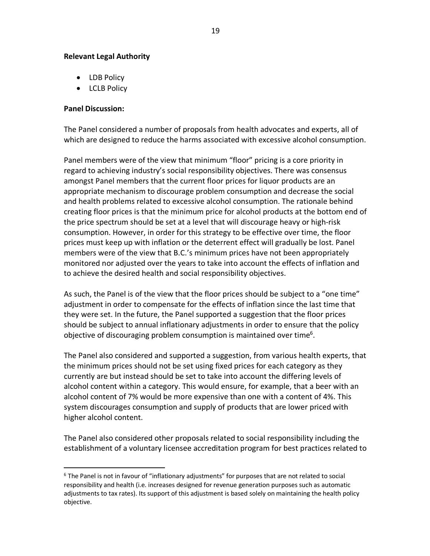### **Relevant'Legal'Authority**

!!!!!!!!!!!!!!!!!!!!!!!!!!!!!!!!!!!!!!!!!!!!!!!!!!!!!!!

- LDB Policy
- LCLB Policy

### **Panel'Discussion:**

The Panel considered a number of proposals from health advocates and experts, all of which are designed to reduce the harms associated with excessive alcohol consumption.

Panel members were of the view that minimum "floor" pricing is a core priority in regard to achieving industry's social responsibility objectives. There was consensus amongst Panel members that the current floor prices for liquor products are an appropriate mechanism to discourage problem consumption and decrease the social and health problems related to excessive alcohol consumption. The rationale behind creating floor prices is that the minimum price for alcohol products at the bottom end of the price spectrum should be set at a level that will discourage heavy or high-risk consumption. However, in order for this strategy to be effective over time, the floor prices must keep up with inflation or the deterrent effect will gradually be lost. Panel members were of the view that B.C.'s minimum prices have not been appropriately monitored nor adjusted over the years to take into account the effects of inflation and to achieve the desired health and social responsibility objectives.

As such, the Panel is of the view that the floor prices should be subject to a "one time" adjustment in order to compensate for the effects of inflation since the last time that they were set. In the future, the Panel supported a suggestion that the floor prices should be subject to annual inflationary adjustments in order to ensure that the policy objective of discouraging problem consumption is maintained over time<sup>6</sup>.

The Panel also considered and supported a suggestion, from various health experts, that the minimum prices should not be set using fixed prices for each category as they currently are but instead should be set to take into account the differing levels of alcohol content within a category. This would ensure, for example, that a beer with an alcohol content of 7% would be more expensive than one with a content of 4%. This system discourages consumption and supply of products that are lower priced with higher alcohol content.

The Panel also considered other proposals related to social responsibility including the establishment of a voluntary licensee accreditation program for best practices related to

<sup>&</sup>lt;sup>6</sup> The Panel is not in favour of "inflationary adjustments" for purposes that are not related to social responsibility and health (i.e. increases designed for revenue generation purposes such as automatic adjustments to tax rates). Its support of this adjustment is based solely on maintaining the health policy objective.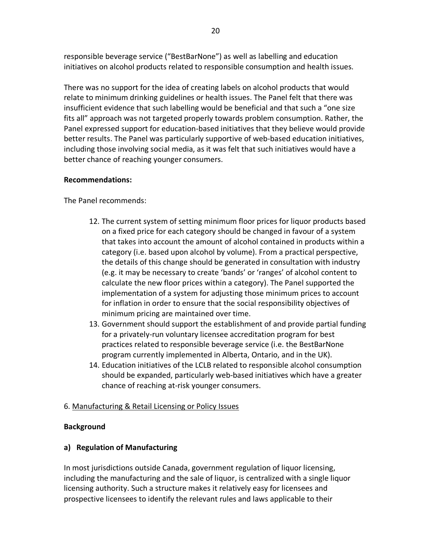responsible beverage service ("BestBarNone") as well as labelling and education initiatives on alcohol products related to responsible consumption and health issues.

There was no support for the idea of creating labels on alcohol products that would relate to minimum drinking guidelines or health issues. The Panel felt that there was insufficient evidence that such labelling would be beneficial and that such a "one size fits all" approach was not targeted properly towards problem consumption. Rather, the Panel expressed support for education-based initiatives that they believe would provide better results. The Panel was particularly supportive of web-based education initiatives, including those involving social media, as it was felt that such initiatives would have a better chance of reaching younger consumers.

## **Recommendations:**

The Panel recommends:

- 12. The current system of setting minimum floor prices for liquor products based on a fixed price for each category should be changed in favour of a system that takes into account the amount of alcohol contained in products within a category (i.e. based upon alcohol by volume). From a practical perspective, the details of this change should be generated in consultation with industry (e.g. it may be necessary to create 'bands' or 'ranges' of alcohol content to calculate the new floor prices within a category). The Panel supported the implementation of a system for adjusting those minimum prices to account for inflation in order to ensure that the social responsibility objectives of minimum pricing are maintained over time.
- 13. Government should support the establishment of and provide partial funding for a privately-run voluntary licensee accreditation program for best practices related to responsible beverage service (i.e. the BestBarNone program currently implemented in Alberta, Ontario, and in the UK).
- 14. Education initiatives of the LCLB related to responsible alcohol consumption should be expanded, particularly web-based initiatives which have a greater chance of reaching at-risk younger consumers.

### 6. Manufacturing & Retail Licensing or Policy Issues

### **Background**

# **a) Regulation'of'Manufacturing**

In most jurisdictions outside Canada, government regulation of liquor licensing, including the manufacturing and the sale of liquor, is centralized with a single liquor licensing authority. Such a structure makes it relatively easy for licensees and prospective licensees to identify the relevant rules and laws applicable to their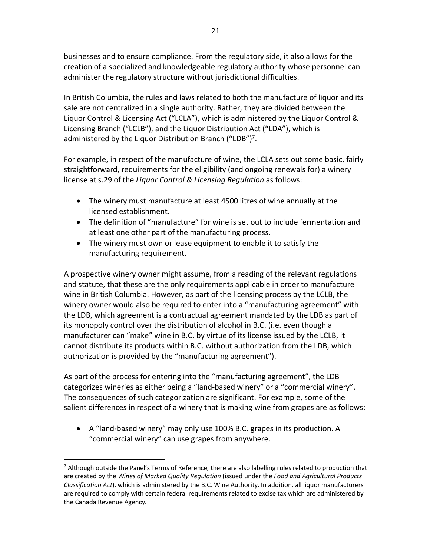businesses and to ensure compliance. From the regulatory side, it also allows for the creation of a specialized and knowledgeable regulatory authority whose personnel can administer the regulatory structure without jurisdictional difficulties.

In British Columbia, the rules and laws related to both the manufacture of liquor and its sale are not centralized in a single authority. Rather, they are divided between the Liquor Control & Licensing Act ("LCLA"), which is administered by the Liquor Control & Licensing Branch ("LCLB"), and the Liquor Distribution Act ("LDA"), which is administered by the Liquor Distribution Branch ("LDB")<sup>7</sup>.

For example, in respect of the manufacture of wine, the LCLA sets out some basic, fairly straightforward, requirements for the eligibility (and ongoing renewals for) a winery license at s.29 of the *Liquor Control & Licensing Regulation* as follows:

- The winery must manufacture at least 4500 litres of wine annually at the licensed establishment.
- The definition of "manufacture" for wine is set out to include fermentation and at least one other part of the manufacturing process.
- The winery must own or lease equipment to enable it to satisfy the manufacturing requirement.

A prospective winery owner might assume, from a reading of the relevant regulations and statute, that these are the only requirements applicable in order to manufacture wine in British Columbia. However, as part of the licensing process by the LCLB, the winery owner would also be required to enter into a "manufacturing agreement" with the LDB, which agreement is a contractual agreement mandated by the LDB as part of its monopoly control over the distribution of alcohol in B.C. (i.e. even though a manufacturer can "make" wine in B.C. by virtue of its license issued by the LCLB, it cannot distribute its products within B.C. without authorization from the LDB, which authorization is provided by the "manufacturing agreement").

As part of the process for entering into the "manufacturing agreement", the LDB categorizes wineries as either being a "land-based winery" or a "commercial winery". The consequences of such categorization are significant. For example, some of the salient differences in respect of a winery that is making wine from grapes are as follows:

• A "land-based winery" may only use 100% B.C. grapes in its production. A " commercial winery" can use grapes from anywhere.

!!!!!!!!!!!!!!!!!!!!!!!!!!!!!!!!!!!!!!!!!!!!!!!!!!!!!!!

 $<sup>7</sup>$  Although outside the Panel's Terms of Reference, there are also labelling rules related to production that</sup> are created by the *Wines of Marked Quality Regulation* (issued under the *Food and Agricultural Products' Classification Act*), which is administered by the B.C. Wine Authority. In addition, all liquor manufacturers are required to comply with certain federal requirements related to excise tax which are administered by the Canada Revenue Agency.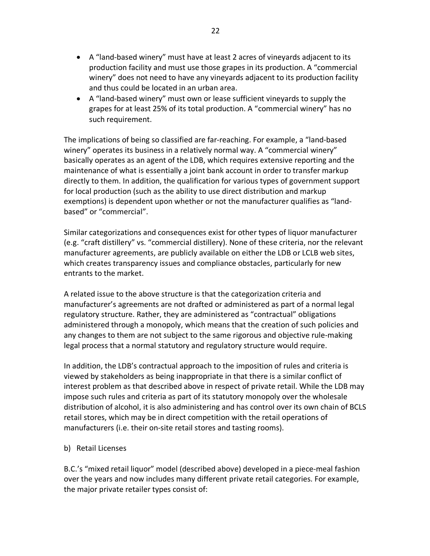- A "land-based winery" must have at least 2 acres of vineyards adjacent to its production facility and must use those grapes in its production. A "commercial" winery" does not need to have any vineyards adjacent to its production facility and thus could be located in an urban area.
- A "land-based winery" must own or lease sufficient vineyards to supply the grapes for at least 25% of its total production. A "commercial winery" has no such requirement.

The implications of being so classified are far-reaching. For example, a "land-based winery" operates its business in a relatively normal way. A "commercial winery" basically operates as an agent of the LDB, which requires extensive reporting and the maintenance of what is essentially a joint bank account in order to transfer markup directly to them. In addition, the qualification for various types of government support for local production (such as the ability to use direct distribution and markup exemptions) is dependent upon whether or not the manufacturer qualifies as "landbased" or "commercial".

Similar categorizations and consequences exist for other types of liquor manufacturer (e.g. "craft distillery" vs. "commercial distillery). None of these criteria, nor the relevant manufacturer agreements, are publicly available on either the LDB or LCLB web sites, which creates transparency issues and compliance obstacles, particularly for new entrants to the market.

A related issue to the above structure is that the categorization criteria and manufacturer's agreements are not drafted or administered as part of a normal legal regulatory structure. Rather, they are administered as "contractual" obligations administered through a monopoly, which means that the creation of such policies and any changes to them are not subject to the same rigorous and objective rule-making legal process that a normal statutory and regulatory structure would require.

In addition, the LDB's contractual approach to the imposition of rules and criteria is viewed by stakeholders as being inappropriate in that there is a similar conflict of interest problem as that described above in respect of private retail. While the LDB may impose such rules and criteria as part of its statutory monopoly over the wholesale distribution of alcohol, it is also administering and has control over its own chain of BCLS retail stores, which may be in direct competition with the retail operations of manufacturers (i.e. their on-site retail stores and tasting rooms).

# b) Retail Licenses

B.C.'s "mixed retail liquor" model (described above) developed in a piece-meal fashion over the years and now includes many different private retail categories. For example, the major private retailer types consist of: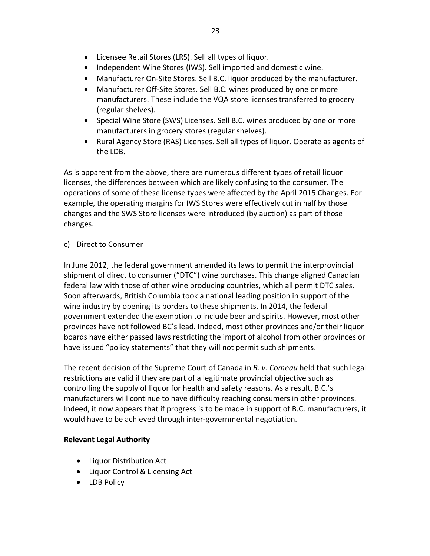- Licensee Retail Stores (LRS). Sell all types of liquor.
- Independent Wine Stores (IWS). Sell imported and domestic wine.
- Manufacturer On-Site Stores. Sell B.C. liquor produced by the manufacturer.
- Manufacturer Off-Site Stores. Sell B.C. wines produced by one or more manufacturers. These include the VQA store licenses transferred to grocery (regular shelves).
- Special Wine Store (SWS) Licenses. Sell B.C. wines produced by one or more manufacturers in grocery stores (regular shelves).
- Rural Agency Store (RAS) Licenses. Sell all types of liquor. Operate as agents of the LDB.

As is apparent from the above, there are numerous different types of retail liquor licenses, the differences between which are likely confusing to the consumer. The operations of some of these license types were affected by the April 2015 Changes. For example, the operating margins for IWS Stores were effectively cut in half by those changes and the SWS Store licenses were introduced (by auction) as part of those changes.

# c) Direct to Consumer

In June 2012, the federal government amended its laws to permit the interprovincial shipment of direct to consumer ("DTC") wine purchases. This change aligned Canadian federal law with those of other wine producing countries, which all permit DTC sales. Soon afterwards, British Columbia took a national leading position in support of the wine industry by opening its borders to these shipments. In 2014, the federal government extended the exemption to include beer and spirits. However, most other provinces have not followed BC's lead. Indeed, most other provinces and/or their liquor boards have either passed laws restricting the import of alcohol from other provinces or have issued "policy statements" that they will not permit such shipments.

The recent decision of the Supreme Court of Canada in *R. v. Comeau* held that such legal restrictions are valid if they are part of a legitimate provincial objective such as controlling the supply of liquor for health and safety reasons. As a result, B.C.'s manufacturers will continue to have difficulty reaching consumers in other provinces. Indeed, it now appears that if progress is to be made in support of B.C. manufacturers, it would have to be achieved through inter-governmental negotiation.

# **Relevant Legal Authority**

- Liquor Distribution Act
- Liquor Control & Licensing Act
- LDB Policy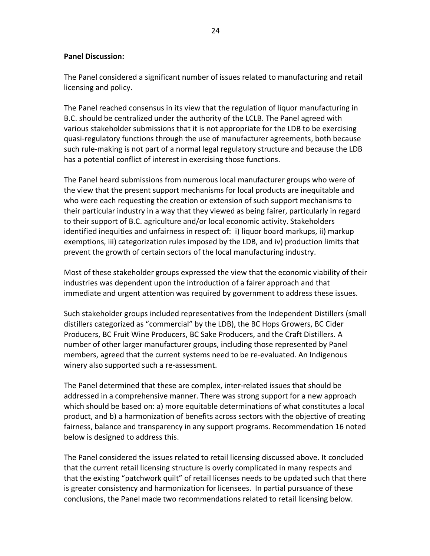### **Panel Discussion:**

The Panel considered a significant number of issues related to manufacturing and retail licensing and policy.

The Panel reached consensus in its view that the regulation of liquor manufacturing in B.C. should be centralized under the authority of the LCLB. The Panel agreed with various stakeholder submissions that it is not appropriate for the LDB to be exercising quasi-regulatory functions through the use of manufacturer agreements, both because such rule-making is not part of a normal legal regulatory structure and because the LDB has a potential conflict of interest in exercising those functions.

The Panel heard submissions from numerous local manufacturer groups who were of the view that the present support mechanisms for local products are inequitable and who were each requesting the creation or extension of such support mechanisms to their particular industry in a way that they viewed as being fairer, particularly in regard to their support of B.C. agriculture and/or local economic activity. Stakeholders identified inequities and unfairness in respect of: i) liquor board markups, ii) markup exemptions, iii) categorization rules imposed by the LDB, and iv) production limits that prevent the growth of certain sectors of the local manufacturing industry.

Most of these stakeholder groups expressed the view that the economic viability of their industries was dependent upon the introduction of a fairer approach and that immediate and urgent attention was required by government to address these issues.

Such stakeholder groups included representatives from the Independent Distillers (small distillers categorized as "commercial" by the LDB), the BC Hops Growers, BC Cider Producers, BC Fruit Wine Producers, BC Sake Producers, and the Craft Distillers. A number of other larger manufacturer groups, including those represented by Panel members, agreed that the current systems need to be re-evaluated. An Indigenous winery also supported such a re-assessment.

The Panel determined that these are complex, inter-related issues that should be addressed in a comprehensive manner. There was strong support for a new approach which should be based on: a) more equitable determinations of what constitutes a local product, and b) a harmonization of benefits across sectors with the objective of creating fairness, balance and transparency in any support programs. Recommendation 16 noted below is designed to address this.

The Panel considered the issues related to retail licensing discussed above. It concluded that the current retail licensing structure is overly complicated in many respects and that the existing "patchwork quilt" of retail licenses needs to be updated such that there is greater consistency and harmonization for licensees. In partial pursuance of these conclusions, the Panel made two recommendations related to retail licensing below.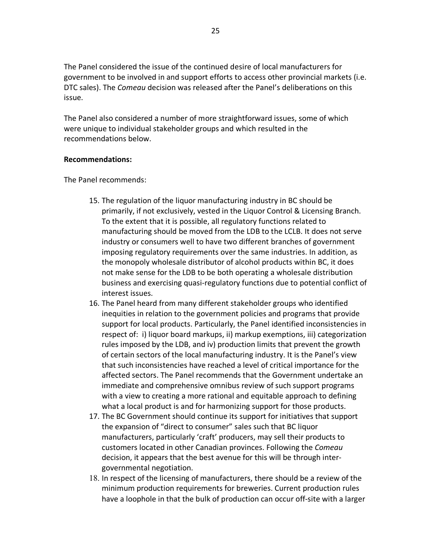The Panel considered the issue of the continued desire of local manufacturers for government to be involved in and support efforts to access other provincial markets (i.e. DTC sales). The *Comeau* decision was released after the Panel's deliberations on this issue.

The Panel also considered a number of more straightforward issues, some of which were unique to individual stakeholder groups and which resulted in the recommendations below.

### **Recommendations:**

The Panel recommends:

- 15. The regulation of the liquor manufacturing industry in BC should be primarily, if not exclusively, vested in the Liquor Control & Licensing Branch. To the extent that it is possible, all regulatory functions related to manufacturing should be moved from the LDB to the LCLB. It does not serve industry or consumers well to have two different branches of government imposing regulatory requirements over the same industries. In addition, as the monopoly wholesale distributor of alcohol products within BC, it does not make sense for the LDB to be both operating a wholesale distribution business and exercising quasi-regulatory functions due to potential conflict of interest issues.
- 16. The Panel heard from many different stakeholder groups who identified inequities in relation to the government policies and programs that provide support for local products. Particularly, the Panel identified inconsistencies in respect of: i) liquor board markups, ii) markup exemptions, iii) categorization rules imposed by the LDB, and iv) production limits that prevent the growth of certain sectors of the local manufacturing industry. It is the Panel's view that such inconsistencies have reached a level of critical importance for the affected sectors. The Panel recommends that the Government undertake an immediate and comprehensive omnibus review of such support programs with a view to creating a more rational and equitable approach to defining what a local product is and for harmonizing support for those products.
- 17. The BC Government should continue its support for initiatives that support the expansion of "direct to consumer" sales such that BC liquor manufacturers, particularly 'craft' producers, may sell their products to customers located in other Canadian provinces. Following the *Comeau* decision, it appears that the best avenue for this will be through intergovernmental negotiation.
- 18. In respect of the licensing of manufacturers, there should be a review of the minimum production requirements for breweries. Current production rules have a loophole in that the bulk of production can occur off-site with a larger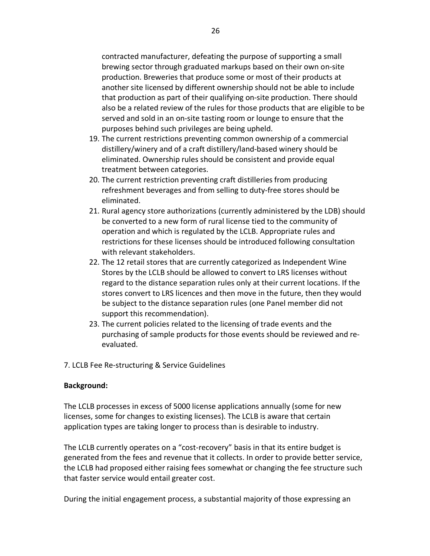contracted manufacturer, defeating the purpose of supporting a small brewing sector through graduated markups based on their own on-site production. Breweries that produce some or most of their products at another site licensed by different ownership should not be able to include that production as part of their qualifying on-site production. There should also be a related review of the rules for those products that are eligible to be served and sold in an on-site tasting room or lounge to ensure that the purposes behind such privileges are being upheld.

- 19. The current restrictions preventing common ownership of a commercial distillery/winery and of a craft distillery/land-based winery should be eliminated. Ownership rules should be consistent and provide equal treatment between categories.
- 20. The current restriction preventing craft distilleries from producing refreshment beverages and from selling to duty-free stores should be eliminated.
- 21. Rural agency store authorizations (currently administered by the LDB) should be converted to a new form of rural license tied to the community of operation and which is regulated by the LCLB. Appropriate rules and restrictions for these licenses should be introduced following consultation with relevant stakeholders.
- 22. The 12 retail stores that are currently categorized as Independent Wine Stores by the LCLB should be allowed to convert to LRS licenses without regard to the distance separation rules only at their current locations. If the stores convert to LRS licences and then move in the future, then they would be subject to the distance separation rules (one Panel member did not support this recommendation).
- 23. The current policies related to the licensing of trade events and the purchasing of sample products for those events should be reviewed and reevaluated.
- 7. LCLB Fee Re-structuring & Service Guidelines

### **Background:**

The LCLB processes in excess of 5000 license applications annually (some for new licenses, some for changes to existing licenses). The LCLB is aware that certain application types are taking longer to process than is desirable to industry.

The LCLB currently operates on a "cost-recovery" basis in that its entire budget is generated from the fees and revenue that it collects. In order to provide better service, the LCLB had proposed either raising fees somewhat or changing the fee structure such that faster service would entail greater cost.

During the initial engagement process, a substantial majority of those expressing an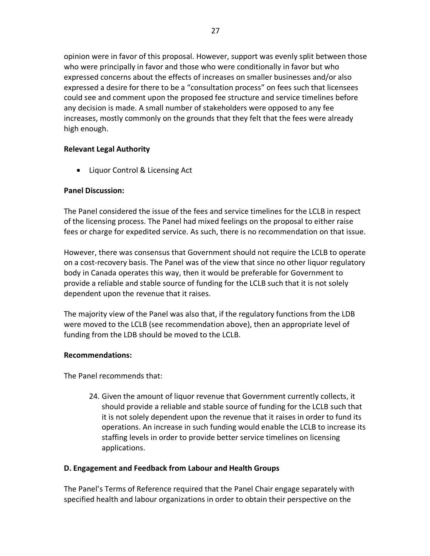opinion were in favor of this proposal. However, support was evenly split between those who were principally in favor and those who were conditionally in favor but who expressed concerns about the effects of increases on smaller businesses and/or also expressed a desire for there to be a "consultation process" on fees such that licensees could see and comment upon the proposed fee structure and service timelines before any decision is made. A small number of stakeholders were opposed to any fee increases, mostly commonly on the grounds that they felt that the fees were already high enough.

# **Relevant'Legal'Authority**

• Liquor Control & Licensing Act

# **Panel'Discussion:**

The Panel considered the issue of the fees and service timelines for the LCLB in respect of the licensing process. The Panel had mixed feelings on the proposal to either raise fees or charge for expedited service. As such, there is no recommendation on that issue.

However, there was consensus that Government should not require the LCLB to operate on a cost-recovery basis. The Panel was of the view that since no other liquor regulatory body in Canada operates this way, then it would be preferable for Government to provide a reliable and stable source of funding for the LCLB such that it is not solely dependent upon the revenue that it raises.

The majority view of the Panel was also that, if the regulatory functions from the LDB were moved to the LCLB (see recommendation above), then an appropriate level of funding from the LDB should be moved to the LCLB.

### **Recommendations:**

The Panel recommends that:

24. Given the amount of liquor revenue that Government currently collects, it should provide a reliable and stable source of funding for the LCLB such that it is not solely dependent upon the revenue that it raises in order to fund its operations. An increase in such funding would enable the LCLB to increase its staffing levels in order to provide better service timelines on licensing applications.

# **D.'Engagement'and'Feedback from'Labour and Health Groups**

The Panel's Terms of Reference required that the Panel Chair engage separately with specified health and labour organizations in order to obtain their perspective on the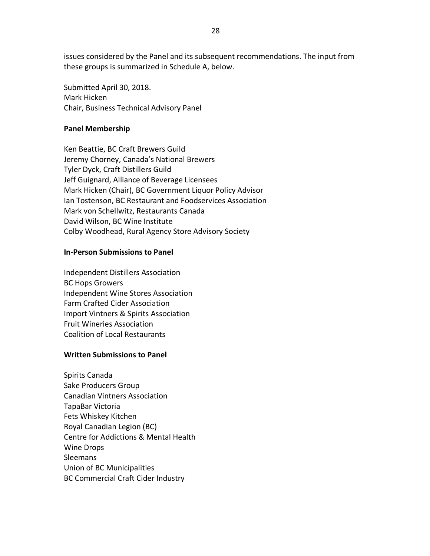issues considered by the Panel and its subsequent recommendations. The input from these groups is summarized in Schedule A, below.

Submitted April 30, 2018. Mark Hicken Chair, Business Technical Advisory Panel

#### **Panel'Membership**

Ken Beattie, BC Craft Brewers Guild Jeremy Chorney, Canada's National Brewers Tyler Dyck, Craft Distillers Guild Jeff Guignard, Alliance of Beverage Licensees Mark Hicken (Chair), BC Government Liquor Policy Advisor Ian Tostenson, BC Restaurant and Foodservices Association Mark von Schellwitz, Restaurants Canada David Wilson, BC Wine Institute Colby Woodhead, Rural Agency Store Advisory Society

#### **In-Person Submissions to Panel**

Independent Distillers Association **BC Hops Growers** Independent Wine Stores Association Farm Crafted Cider Association Import Vintners & Spirits Association Fruit Wineries Association Coalition of Local Restaurants

#### **Written Submissions to Panel**

Spirits Canada Sake Producers Group Canadian Vintners Association TapaBar Victoria Fets Whiskey Kitchen Royal Canadian Legion (BC) Centre for Addictions & Mental Health Wine Drops Sleemans Union of BC Municipalities BC Commercial Craft Cider Industry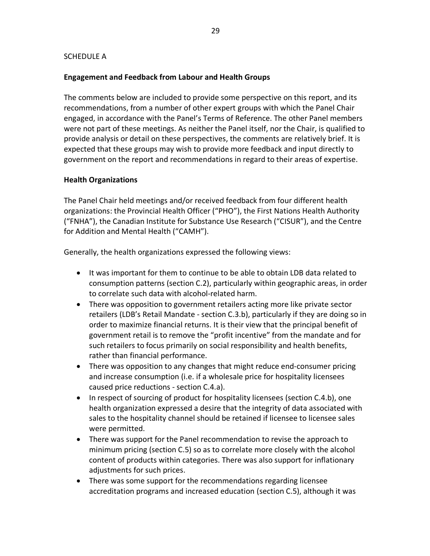### SCHEDULE A

### **Engagement'and'Feedback from'Labour and Health Groups**

The comments below are included to provide some perspective on this report, and its recommendations, from a number of other expert groups with which the Panel Chair engaged, in accordance with the Panel's Terms of Reference. The other Panel members were not part of these meetings. As neither the Panel itself, nor the Chair, is qualified to provide analysis or detail on these perspectives, the comments are relatively brief. It is expected that these groups may wish to provide more feedback and input directly to government on the report and recommendations in regard to their areas of expertise.

### **Health'Organizations**

The Panel Chair held meetings and/or received feedback from four different health organizations: the Provincial Health Officer ("PHO"), the First Nations Health Authority ("FNHA"), the Canadian Institute for Substance Use Research ("CISUR"), and the Centre for Addition and Mental Health ("CAMH").

Generally, the health organizations expressed the following views:

- It was important for them to continue to be able to obtain LDB data related to consumption patterns (section C.2), particularly within geographic areas, in order to correlate such data with alcohol-related harm.
- There was opposition to government retailers acting more like private sector retailers (LDB's Retail Mandate - section C.3.b), particularly if they are doing so in order to maximize financial returns. It is their view that the principal benefit of government retail is to remove the "profit incentive" from the mandate and for such retailers to focus primarily on social responsibility and health benefits, rather than financial performance.
- There was opposition to any changes that might reduce end-consumer pricing and increase consumption (i.e. if a wholesale price for hospitality licensees caused price reductions - section C.4.a).
- In respect of sourcing of product for hospitality licensees (section C.4.b), one health organization expressed a desire that the integrity of data associated with sales to the hospitality channel should be retained if licensee to licensee sales were permitted.
- There was support for the Panel recommendation to revise the approach to minimum pricing (section C.5) so as to correlate more closely with the alcohol content of products within categories. There was also support for inflationary adjustments for such prices.
- There was some support for the recommendations regarding licensee accreditation programs and increased education (section C.5), although it was